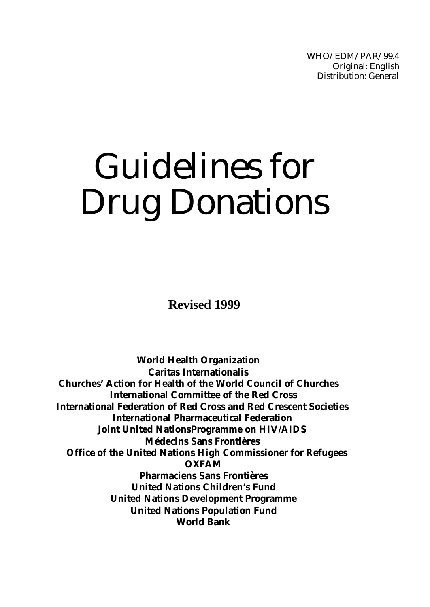WHO/EDM/PAR/99.4 Original: English Distribution: General

# Guidelines for Drug Donations

**Revised 1999**

**World Health Organization Caritas Internationalis Churches' Action for Health of the World Council of Churches International Committee of the Red Cross International Federation of Red Cross and Red Crescent Societies International Pharmaceutical Federation Joint United NationsProgramme on HIV/AIDS Médecins Sans Frontières Office of the United Nations High Commissioner for Refugees OXFAM Pharmaciens Sans Frontières United Nations Children's Fund United Nations Development Programme United Nations Population Fund World Bank**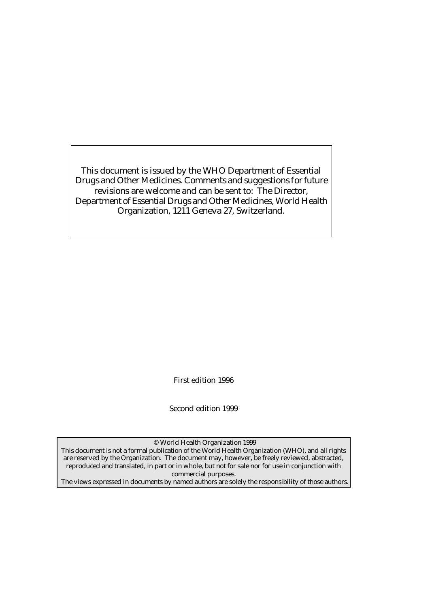This document is issued by the WHO Department of Essential Drugs and Other Medicines. Comments and suggestions for future revisions are welcome and can be sent to: The Director, Department of Essential Drugs and Other Medicines, World Health Organization, 1211 Geneva 27, Switzerland.

First edition 1996

Second edition 1999

© World Health Organization 1999

This document is not a formal publication of the World Health Organization (WHO), and all rights are reserved by the Organization. The document may, however, be freely reviewed, abstracted, reproduced and translated, in part or in whole, but not for sale nor for use in conjunction with commercial purposes.

The views expressed in documents by named authors are solely the responsibility of those authors.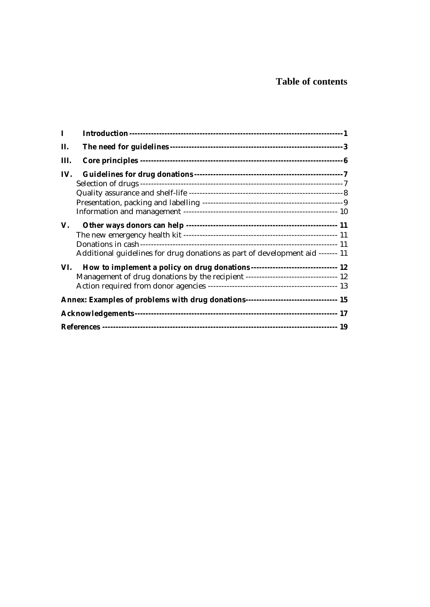# **Table of contents**

| $\bf{I}$ |                                                                                     |  |
|----------|-------------------------------------------------------------------------------------|--|
| П.       |                                                                                     |  |
| Ш.       |                                                                                     |  |
| IV.      |                                                                                     |  |
| V.       | Additional guidelines for drug donations as part of development aid ------- 11      |  |
| VI.      | Management of drug donations by the recipient ---------------------------------- 12 |  |
|          | Annex: Examples of problems with drug donations--------------------------------- 15 |  |
|          |                                                                                     |  |
|          |                                                                                     |  |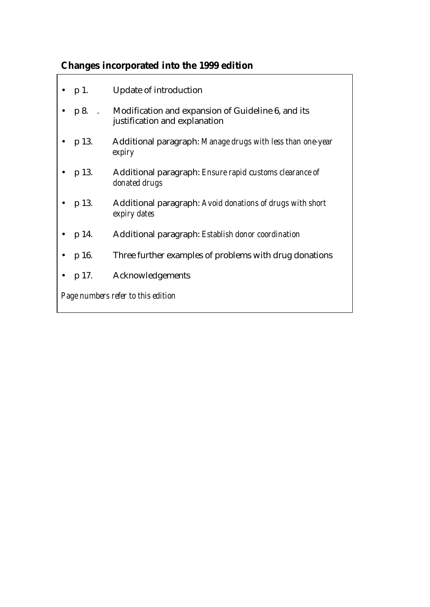# **Changes incorporated into the 1999 edition**

|                                    | $\bullet$ p 1.  | <b>Update of introduction</b>                                                              |  |
|------------------------------------|-----------------|--------------------------------------------------------------------------------------------|--|
|                                    |                 | • p 8. Modification and expansion of Guideline 6, and its<br>justification and explanation |  |
|                                    | $\bullet$ p 13. | Additional paragraph: Manage drugs with less than one-year<br>expiry                       |  |
|                                    | $\bullet$ p 13. | Additional paragraph: Ensure rapid customs clearance of<br>donated drugs                   |  |
|                                    | $\bullet$ p 13. | Additional paragraph: Avoid donations of drugs with short<br>expiry dates                  |  |
|                                    | $\bullet$ p 14. | Additional paragraph: <i>Establish donor coordination</i>                                  |  |
|                                    | $\bullet$ p 16. | Three further examples of problems with drug donations                                     |  |
|                                    | $\bullet$ p 17. | Acknowledgements                                                                           |  |
| Page numbers refer to this edition |                 |                                                                                            |  |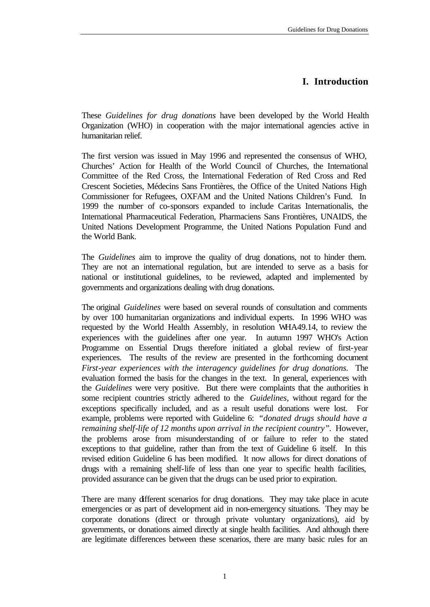# **I. Introduction**

These *Guidelines for drug donations* have been developed by the World Health Organization (WHO) in cooperation with the major international agencies active in humanitarian relief.

The first version was issued in May 1996 and represented the consensus of WHO, Churches' Action for Health of the World Council of Churches, the International Committee of the Red Cross, the International Federation of Red Cross and Red Crescent Societies, Médecins Sans Frontières, the Office of the United Nations High Commissioner for Refugees, OXFAM and the United Nations Children's Fund. In 1999 the number of co-sponsors expanded to include Caritas Internationalis, the International Pharmaceutical Federation, Pharmaciens Sans Frontières, UNAIDS, the United Nations Development Programme, the United Nations Population Fund and the World Bank.

The *Guidelines* aim to improve the quality of drug donations, not to hinder them. They are not an international regulation, but are intended to serve as a basis for national or institutional guidelines, to be reviewed, adapted and implemented by governments and organizations dealing with drug donations.

The original *Guidelines* were based on several rounds of consultation and comments by over 100 humanitarian organizations and individual experts. In 1996 WHO was requested by the World Health Assembly, in resolution WHA49.14, to review the experiences with the guidelines after one year. In autumn 1997 WHO's Action Programme on Essential Drugs therefore initiated a global review of first-year experiences. The results of the review are presented in the forthcoming document *First-year experiences with the interagency guidelines for drug donations.* The evaluation formed the basis for the changes in the text. In general, experiences with the *Guidelines* were very positive. But there were complaints that the authorities in some recipient countries strictly adhered to the *Guidelines,* without regard for the exceptions specifically included, and as a result useful donations were lost. For example, problems were reported with Guideline 6: *"donated drugs should have a remaining shelf-life of 12 months upon arrival in the recipient country".* However, the problems arose from misunderstanding of or failure to refer to the stated exceptions to that guideline, rather than from the text of Guideline 6 itself. In this revised edition Guideline 6 has been modified. It now allows for direct donations of drugs with a remaining shelf-life of less than one year to specific health facilities, provided assurance can be given that the drugs can be used prior to expiration.

There are many different scenarios for drug donations. They may take place in acute emergencies or as part of development aid in non-emergency situations. They may be corporate donations (direct or through private voluntary organizations), aid by governments, or donations aimed directly at single health facilities. And although there are legitimate differences between these scenarios, there are many basic rules for an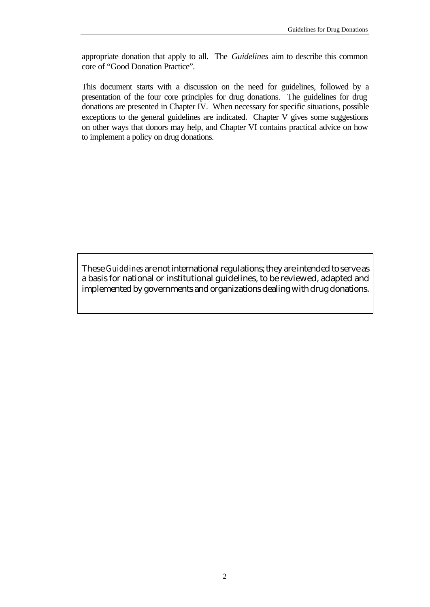appropriate donation that apply to all. The *Guidelines* aim to describe this common core of "Good Donation Practice".

This document starts with a discussion on the need for guidelines, followed by a presentation of the four core principles for drug donations. The guidelines for drug donations are presented in Chapter IV. When necessary for specific situations, possible exceptions to the general guidelines are indicated. Chapter V gives some suggestions on other ways that donors may help, and Chapter VI contains practical advice on how to implement a policy on drug donations.

These *Guidelines* are not international regulations; they are intended to serve as a basis for national or institutional guidelines, to be reviewed, adapted and implemented by governments and organizations dealing with drug donations.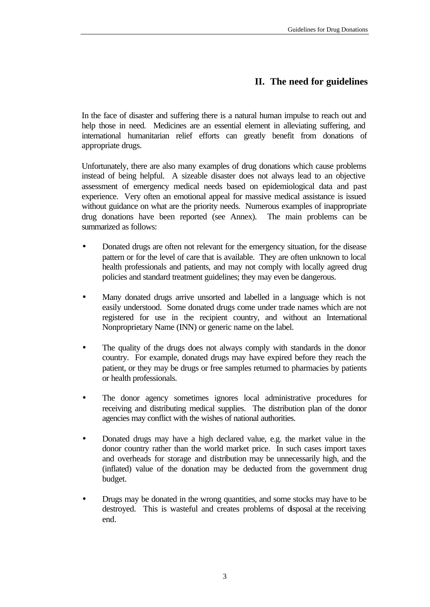# **II. The need for guidelines**

In the face of disaster and suffering there is a natural human impulse to reach out and help those in need. Medicines are an essential element in alleviating suffering, and international humanitarian relief efforts can greatly benefit from donations of appropriate drugs.

Unfortunately, there are also many examples of drug donations which cause problems instead of being helpful. A sizeable disaster does not always lead to an objective assessment of emergency medical needs based on epidemiological data and past experience. Very often an emotional appeal for massive medical assistance is issued without guidance on what are the priority needs. Numerous examples of inappropriate drug donations have been reported (see Annex). The main problems can be summarized as follows:

- Donated drugs are often not relevant for the emergency situation, for the disease pattern or for the level of care that is available. They are often unknown to local health professionals and patients, and may not comply with locally agreed drug policies and standard treatment guidelines; they may even be dangerous.
- Many donated drugs arrive unsorted and labelled in a language which is not easily understood. Some donated drugs come under trade names which are not registered for use in the recipient country, and without an International Nonproprietary Name (INN) or generic name on the label.
- The quality of the drugs does not always comply with standards in the donor country. For example, donated drugs may have expired before they reach the patient, or they may be drugs or free samples returned to pharmacies by patients or health professionals.
- The donor agency sometimes ignores local administrative procedures for receiving and distributing medical supplies. The distribution plan of the donor agencies may conflict with the wishes of national authorities.
- Donated drugs may have a high declared value, e.g. the market value in the donor country rather than the world market price. In such cases import taxes and overheads for storage and distribution may be unnecessarily high, and the (inflated) value of the donation may be deducted from the government drug budget.
- Drugs may be donated in the wrong quantities, and some stocks may have to be destroyed. This is wasteful and creates problems of disposal at the receiving end.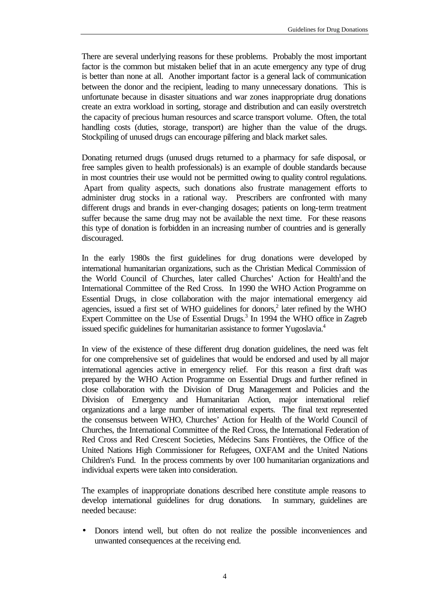There are several underlying reasons for these problems. Probably the most important factor is the common but mistaken belief that in an acute emergency any type of drug is better than none at all. Another important factor is a general lack of communication between the donor and the recipient, leading to many unnecessary donations. This is unfortunate because in disaster situations and war zones inappropriate drug donations create an extra workload in sorting, storage and distribution and can easily overstretch the capacity of precious human resources and scarce transport volume. Often, the total handling costs (duties, storage, transport) are higher than the value of the drugs. Stockpiling of unused drugs can encourage pilfering and black market sales.

Donating returned drugs (unused drugs returned to a pharmacy for safe disposal, or free samples given to health professionals) is an example of double standards because in most countries their use would not be permitted owing to quality control regulations. Apart from quality aspects, such donations also frustrate management efforts to administer drug stocks in a rational way. Prescribers are confronted with many different drugs and brands in ever-changing dosages; patients on long-term treatment suffer because the same drug may not be available the next time. For these reasons this type of donation is forbidden in an increasing number of countries and is generally discouraged.

In the early 1980s the first guidelines for drug donations were developed by international humanitarian organizations, such as the Christian Medical Commission of the World Council of Churches, later called Churches' Action for Health<sup>1</sup> and the International Committee of the Red Cross. In 1990 the WHO Action Programme on Essential Drugs, in close collaboration with the major international emergency aid agencies, issued a first set of WHO guidelines for donors,<sup>2</sup> later refined by the WHO Expert Committee on the Use of Essential Drugs.<sup>3</sup> In 1994 the WHO office in Zagreb issued specific guidelines for humanitarian assistance to former Yugoslavia.<sup>4</sup>

In view of the existence of these different drug donation guidelines, the need was felt for one comprehensive set of guidelines that would be endorsed and used by all major international agencies active in emergency relief. For this reason a first draft was prepared by the WHO Action Programme on Essential Drugs and further refined in close collaboration with the Division of Drug Management and Policies and the Division of Emergency and Humanitarian Action, major international relief organizations and a large number of international experts. The final text represented the consensus between WHO, Churches' Action for Health of the World Council of Churches, the International Committee of the Red Cross, the International Federation of Red Cross and Red Crescent Societies, Médecins Sans Frontières, the Office of the United Nations High Commissioner for Refugees, OXFAM and the United Nations Children's Fund. In the process comments by over 100 humanitarian organizations and individual experts were taken into consideration.

The examples of inappropriate donations described here constitute ample reasons to develop international guidelines for drug donations. In summary, guidelines are needed because:

• Donors intend well, but often do not realize the possible inconveniences and unwanted consequences at the receiving end.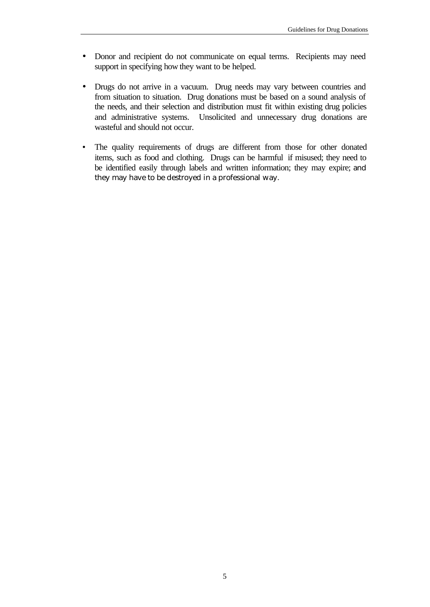- Donor and recipient do not communicate on equal terms. Recipients may need support in specifying how they want to be helped.
- Drugs do not arrive in a vacuum. Drug needs may vary between countries and from situation to situation. Drug donations must be based on a sound analysis of the needs, and their selection and distribution must fit within existing drug policies and administrative systems. Unsolicited and unnecessary drug donations are wasteful and should not occur.
- The quality requirements of drugs are different from those for other donated items, such as food and clothing. Drugs can be harmful if misused; they need to be identified easily through labels and written information; they may expire; and they may have to be destroyed in a professional way.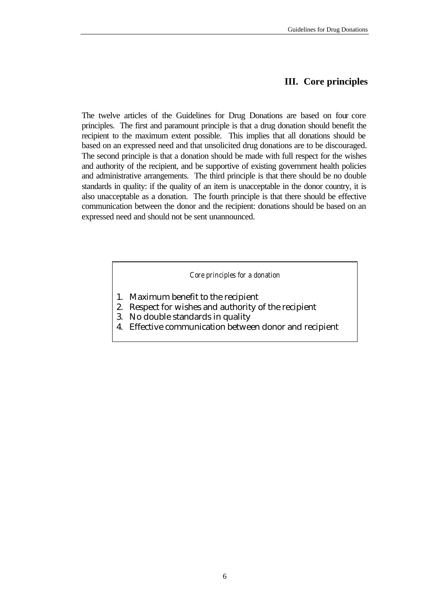# **III. Core principles**

The twelve articles of the Guidelines for Drug Donations are based on four core principles. The first and paramount principle is that a drug donation should benefit the recipient to the maximum extent possible. This implies that all donations should be based on an expressed need and that unsolicited drug donations are to be discouraged. The second principle is that a donation should be made with full respect for the wishes and authority of the recipient, and be supportive of existing government health policies and administrative arrangements. The third principle is that there should be no double standards in quality: if the quality of an item is unacceptable in the donor country, it is also unacceptable as a donation. The fourth principle is that there should be effective communication between the donor and the recipient: donations should be based on an expressed need and should not be sent unannounced.

*Core principles for a donation*

- 1. Maximum benefit to the recipient
- 2. Respect for wishes and authority of the recipient
- 3. No double standards in quality
- 4. Effective communication between donor and recipient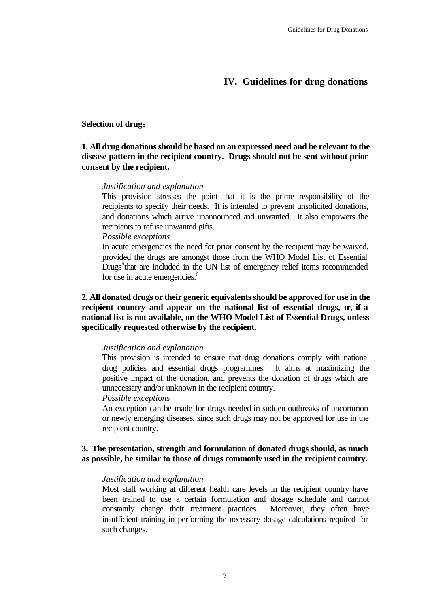# **IV. Guidelines for drug donations**

#### **Selection of drugs**

# **1. All drug donations should be based on an expressed need and be relevant to the disease pattern in the recipient country. Drugs should not be sent without prior consent by the recipient.**

#### *Justification and explanation*

This provision stresses the point that it is the prime responsibility of the recipients to specify their needs. It is intended to prevent unsolicited donations, and donations which arrive unannounced and unwanted. It also empowers the recipients to refuse unwanted gifts.

#### *Possible exceptions*

In acute emergencies the need for prior consent by the recipient may be waived, provided the drugs are amongst those from the WHO Model List of Essential Drugs<sup>5</sup> that are included in the UN list of emergency relief items recommended for use in acute emergencies.<sup>6</sup>

# **2. All donated drugs or their generic equivalents should be approved for use in the**  recipient country and appear on the national list of essential drugs,  $\alpha$ , if a **national list is not available, on the WHO Model List of Essential Drugs, unless specifically requested otherwise by the recipient.**

#### *Justification and explanation*

This provision is intended to ensure that drug donations comply with national drug policies and essential drugs programmes. It aims at maximizing the positive impact of the donation, and prevents the donation of drugs which are unnecessary and/or unknown in the recipient country.

#### *Possible exceptions*

An exception can be made for drugs needed in sudden outbreaks of uncommon or newly emerging diseases, since such drugs may not be approved for use in the recipient country.

# **3. The presentation, strength and formulation of donated drugs should, as much as possible, be similar to those of drugs commonly used in the recipient country.**

#### *Justification and explanation*

Most staff working at different health care levels in the recipient country have been trained to use a certain formulation and dosage schedule and cannot constantly change their treatment practices. Moreover, they often have insufficient training in performing the necessary dosage calculations required for such changes.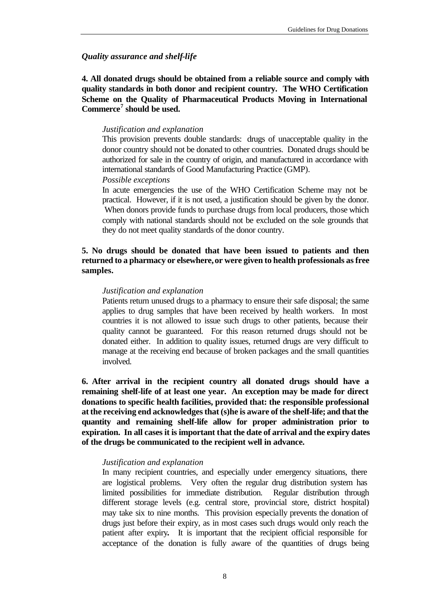#### *Quality assurance and shelf-life*

**4. All donated drugs should be obtained from a reliable source and comply with quality standards in both donor and recipient country. The WHO Certification Scheme on the Quality of Pharmaceutical Products Moving in International Commerce<sup>7</sup> should be used.**

#### *Justification and explanation*

This provision prevents double standards: drugs of unacceptable quality in the donor country should not be donated to other countries. Donated drugs should be authorized for sale in the country of origin, and manufactured in accordance with international standards of Good Manufacturing Practice (GMP).

#### *Possible exceptions*

In acute emergencies the use of the WHO Certification Scheme may not be practical. However, if it is not used, a justification should be given by the donor. When donors provide funds to purchase drugs from local producers, those which comply with national standards should not be excluded on the sole grounds that they do not meet quality standards of the donor country.

# **5. No drugs should be donated that have been issued to patients and then returned to a pharmacy or elsewhere, or were given to health professionals as free samples.**

# *Justification and explanation*

Patients return unused drugs to a pharmacy to ensure their safe disposal; the same applies to drug samples that have been received by health workers. In most countries it is not allowed to issue such drugs to other patients, because their quality cannot be guaranteed. For this reason returned drugs should not be donated either. In addition to quality issues, returned drugs are very difficult to manage at the receiving end because of broken packages and the small quantities involved.

**6. After arrival in the recipient country all donated drugs should have a remaining shelf-life of at least one year. An exception may be made for direct donations to specific health facilities, provided that: the responsible professional at the receiving end acknowledges that (s)he is aware of the shelf-life; and that the quantity and remaining shelf-life allow for proper administration prior to expiration. In all cases it is important that the date of arrival and the expiry dates of the drugs be communicated to the recipient well in advance.**

#### *Justification and explanation*

In many recipient countries, and especially under emergency situations, there are logistical problems. Very often the regular drug distribution system has limited possibilities for immediate distribution. Regular distribution through different storage levels (e.g. central store, provincial store, district hospital) may take six to nine months. This provision especially prevents the donation of drugs just before their expiry, as in most cases such drugs would only reach the patient after expiry**.** It is important that the recipient official responsible for acceptance of the donation is fully aware of the quantities of drugs being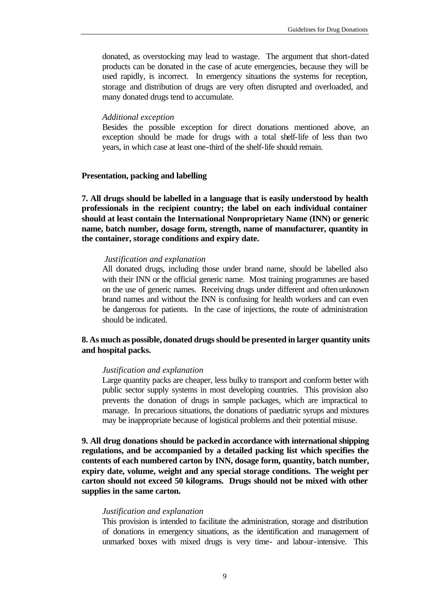donated, as overstocking may lead to wastage. The argument that short-dated products can be donated in the case of acute emergencies, because they will be used rapidly, is incorrect. In emergency situations the systems for reception, storage and distribution of drugs are very often disrupted and overloaded, and many donated drugs tend to accumulate.

#### *Additional exception*

Besides the possible exception for direct donations mentioned above, an exception should be made for drugs with a total shelf-life of less than two years, in which case at least one-third of the shelf-life should remain.

#### **Presentation, packing and labelling**

**7. All drugs should be labelled in a language that is easily understood by health professionals in the recipient country; the label on each individual container should at least contain the International Nonproprietary Name (INN) or generic name, batch number, dosage form, strength, name of manufacturer, quantity in the container, storage conditions and expiry date.**

#### *Justification and explanation*

All donated drugs, including those under brand name, should be labelled also with their INN or the official generic name. Most training programmes are based on the use of generic names. Receiving drugs under different and often unknown brand names and without the INN is confusing for health workers and can even be dangerous for patients. In the case of injections, the route of administration should be indicated.

#### **8. As much as possible, donated drugs should be presented in larger quantity units and hospital packs.**

#### *Justification and explanation*

Large quantity packs are cheaper, less bulky to transport and conform better with public sector supply systems in most developing countries. This provision also prevents the donation of drugs in sample packages, which are impractical to manage. In precarious situations, the donations of paediatric syrups and mixtures may be inappropriate because of logistical problems and their potential misuse.

**9. All drug donations should be packed in accordance with international shipping regulations, and be accompanied by a detailed packing list which specifies the contents of each numbered carton by INN, dosage form, quantity, batch number, expiry date, volume, weight and any special storage conditions. The weight per carton should not exceed 50 kilograms. Drugs should not be mixed with other supplies in the same carton.**

#### *Justification and explanation*

This provision is intended to facilitate the administration, storage and distribution of donations in emergency situations, as the identification and management of unmarked boxes with mixed drugs is very time- and labour-intensive. This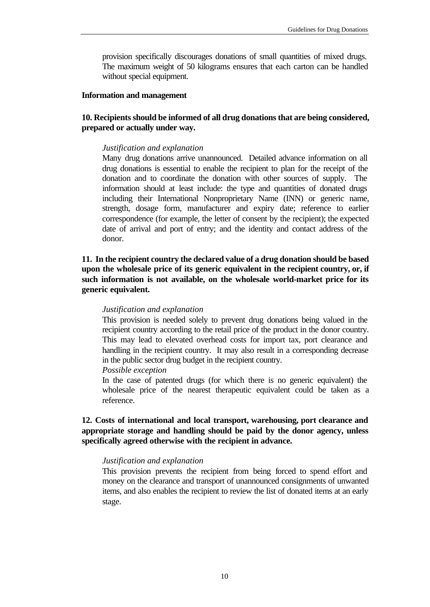provision specifically discourages donations of small quantities of mixed drugs. The maximum weight of 50 kilograms ensures that each carton can be handled without special equipment.

#### **Information and management**

# **10. Recipients should be informed of all drug donations that are being considered, prepared or actually under way.**

#### *Justification and explanation*

Many drug donations arrive unannounced. Detailed advance information on all drug donations is essential to enable the recipient to plan for the receipt of the donation and to coordinate the donation with other sources of supply. The information should at least include: the type and quantities of donated drugs including their International Nonproprietary Name (INN) or generic name, strength, dosage form, manufacturer and expiry date; reference to earlier correspondence (for example, the letter of consent by the recipient); the expected date of arrival and port of entry; and the identity and contact address of the donor.

**11. In the recipient country the declared value of a drug donation should be based upon the wholesale price of its generic equivalent in the recipient country, or, if such information is not available, on the wholesale world-market price for its generic equivalent.**

#### *Justification and explanation*

This provision is needed solely to prevent drug donations being valued in the recipient country according to the retail price of the product in the donor country. This may lead to elevated overhead costs for import tax, port clearance and handling in the recipient country. It may also result in a corresponding decrease in the public sector drug budget in the recipient country.

*Possible exception*

In the case of patented drugs (for which there is no generic equivalent) the wholesale price of the nearest therapeutic equivalent could be taken as a reference.

# **12. Costs of international and local transport, warehousing, port clearance and appropriate storage and handling should be paid by the donor agency, unless specifically agreed otherwise with the recipient in advance.**

#### *Justification and explanation*

This provision prevents the recipient from being forced to spend effort and money on the clearance and transport of unannounced consignments of unwanted items, and also enables the recipient to review the list of donated items at an early stage.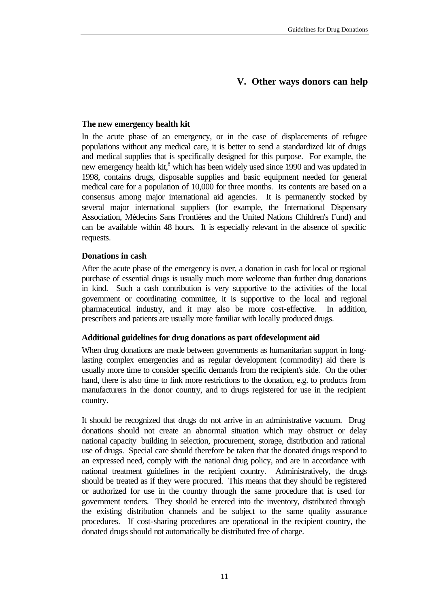# **V. Other ways donors can help**

#### **The new emergency health kit**

In the acute phase of an emergency, or in the case of displacements of refugee populations without any medical care, it is better to send a standardized kit of drugs and medical supplies that is specifically designed for this purpose. For example, the new emergency health kit,<sup>8</sup> which has been widely used since 1990 and was updated in 1998, contains drugs, disposable supplies and basic equipment needed for general medical care for a population of 10,000 for three months. Its contents are based on a consensus among major international aid agencies. It is permanently stocked by several major international suppliers (for example, the International Dispensary Association, Médecins Sans Frontières and the United Nations Children's Fund) and can be available within 48 hours. It is especially relevant in the absence of specific requests.

# **Donations in cash**

After the acute phase of the emergency is over, a donation in cash for local or regional purchase of essential drugs is usually much more welcome than further drug donations in kind. Such a cash contribution is very supportive to the activities of the local government or coordinating committee, it is supportive to the local and regional pharmaceutical industry, and it may also be more cost-effective. In addition, prescribers and patients are usually more familiar with locally produced drugs.

#### **Additional guidelines for drug donations as part ofdevelopment aid**

When drug donations are made between governments as humanitarian support in longlasting complex emergencies and as regular development (commodity) aid there is usually more time to consider specific demands from the recipient's side. On the other hand, there is also time to link more restrictions to the donation, e.g. to products from manufacturers in the donor country, and to drugs registered for use in the recipient country.

It should be recognized that drugs do not arrive in an administrative vacuum. Drug donations should not create an abnormal situation which may obstruct or delay national capacity building in selection, procurement, storage, distribution and rational use of drugs. Special care should therefore be taken that the donated drugs respond to an expressed need, comply with the national drug policy, and are in accordance with national treatment guidelines in the recipient country. Administratively, the drugs should be treated as if they were procured. This means that they should be registered or authorized for use in the country through the same procedure that is used for government tenders. They should be entered into the inventory, distributed through the existing distribution channels and be subject to the same quality assurance procedures. If cost-sharing procedures are operational in the recipient country, the donated drugs should not automatically be distributed free of charge.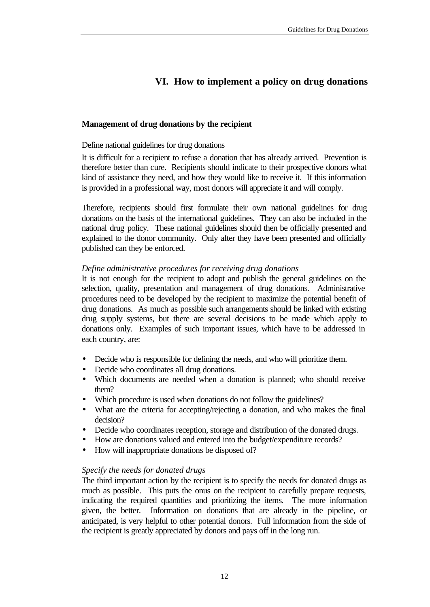# **VI. How to implement a policy on drug donations**

# **Management of drug donations by the recipient**

Define national guidelines for drug donations

It is difficult for a recipient to refuse a donation that has already arrived. Prevention is therefore better than cure. Recipients should indicate to their prospective donors what kind of assistance they need, and how they would like to receive it. If this information is provided in a professional way, most donors will appreciate it and will comply.

Therefore, recipients should first formulate their own national guidelines for drug donations on the basis of the international guidelines. They can also be included in the national drug policy. These national guidelines should then be officially presented and explained to the donor community. Only after they have been presented and officially published can they be enforced.

# *Define administrative procedures for receiving drug donations*

It is not enough for the recipient to adopt and publish the general guidelines on the selection, quality, presentation and management of drug donations. Administrative procedures need to be developed by the recipient to maximize the potential benefit of drug donations. As much as possible such arrangements should be linked with existing drug supply systems, but there are several decisions to be made which apply to donations only. Examples of such important issues, which have to be addressed in each country, are:

- Decide who is responsible for defining the needs, and who will prioritize them.
- Decide who coordinates all drug donations.
- Which documents are needed when a donation is planned; who should receive them?
- Which procedure is used when donations do not follow the guidelines?
- What are the criteria for accepting/rejecting a donation, and who makes the final decision?
- Decide who coordinates reception, storage and distribution of the donated drugs.
- How are donations valued and entered into the budget/expenditure records?
- How will inappropriate donations be disposed of?

#### *Specify the needs for donated drugs*

The third important action by the recipient is to specify the needs for donated drugs as much as possible. This puts the onus on the recipient to carefully prepare requests, indicating the required quantities and prioritizing the items. The more information given, the better. Information on donations that are already in the pipeline, or anticipated, is very helpful to other potential donors. Full information from the side of the recipient is greatly appreciated by donors and pays off in the long run.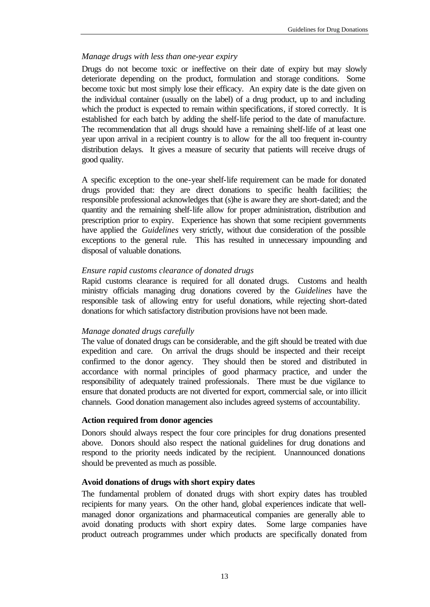#### *Manage drugs with less than one-year expiry*

Drugs do not become toxic or ineffective on their date of expiry but may slowly deteriorate depending on the product, formulation and storage conditions. Some become toxic but most simply lose their efficacy. An expiry date is the date given on the individual container (usually on the label) of a drug product, up to and including which the product is expected to remain within specifications, if stored correctly. It is established for each batch by adding the shelf-life period to the date of manufacture. The recommendation that all drugs should have a remaining shelf-life of at least one year upon arrival in a recipient country is to allow for the all too frequent in-country distribution delays. It gives a measure of security that patients will receive drugs of good quality.

A specific exception to the one-year shelf-life requirement can be made for donated drugs provided that: they are direct donations to specific health facilities; the responsible professional acknowledges that (s)he is aware they are short-dated; and the quantity and the remaining shelf-life allow for proper administration, distribution and prescription prior to expiry. Experience has shown that some recipient governments have applied the *Guidelines* very strictly, without due consideration of the possible exceptions to the general rule. This has resulted in unnecessary impounding and disposal of valuable donations.

# *Ensure rapid customs clearance of donated drugs*

Rapid customs clearance is required for all donated drugs. Customs and health ministry officials managing drug donations covered by the *Guidelines* have the responsible task of allowing entry for useful donations, while rejecting short-dated donations for which satisfactory distribution provisions have not been made.

#### *Manage donated drugs carefully*

The value of donated drugs can be considerable, and the gift should be treated with due expedition and care. On arrival the drugs should be inspected and their receipt confirmed to the donor agency. They should then be stored and distributed in accordance with normal principles of good pharmacy practice, and under the responsibility of adequately trained professionals. There must be due vigilance to ensure that donated products are not diverted for export, commercial sale, or into illicit channels. Good donation management also includes agreed systems of accountability.

#### **Action required from donor agencies**

Donors should always respect the four core principles for drug donations presented above. Donors should also respect the national guidelines for drug donations and respond to the priority needs indicated by the recipient. Unannounced donations should be prevented as much as possible.

#### **Avoid donations of drugs with short expiry dates**

The fundamental problem of donated drugs with short expiry dates has troubled recipients for many years. On the other hand, global experiences indicate that wellmanaged donor organizations and pharmaceutical companies are generally able to avoid donating products with short expiry dates. Some large companies have product outreach programmes under which products are specifically donated from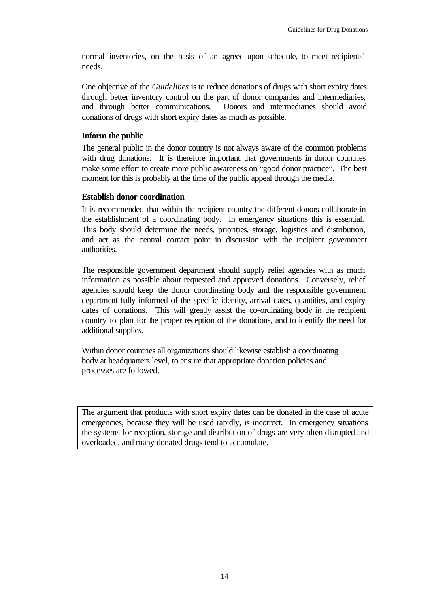normal inventories, on the basis of an agreed-upon schedule, to meet recipients' needs.

One objective of the *Guidelines* is to reduce donations of drugs with short expiry dates through better inventory control on the part of donor companies and intermediaries, and through better communications. Donors and intermediaries should avoid donations of drugs with short expiry dates as much as possible.

# **Inform the public**

The general public in the donor country is not always aware of the common problems with drug donations. It is therefore important that governments in donor countries make some effort to create more public awareness on "good donor practice". The best moment for this is probably at the time of the public appeal through the media.

# **Establish donor coordination**

It is recommended that within the recipient country the different donors collaborate in the establishment of a coordinating body. In emergency situations this is essential. This body should determine the needs, priorities, storage, logistics and distribution, and act as the central contact point in discussion with the recipient government authorities.

The responsible government department should supply relief agencies with as much information as possible about requested and approved donations. Conversely, relief agencies should keep the donor coordinating body and the responsible government department fully informed of the specific identity, arrival dates, quantities, and expiry dates of donations. This will greatly assist the co-ordinating body in the recipient country to plan for the proper reception of the donations, and to identify the need for additional supplies.

Within donor countries all organizations should likewise establish a coordinating body at headquarters level, to ensure that appropriate donation policies and processes are followed.

The argument that products with short expiry dates can be donated in the case of acute emergencies, because they will be used rapidly, is incorrect. In emergency situations the systems for reception, storage and distribution of drugs are very often disrupted and overloaded, and many donated drugs tend to accumulate.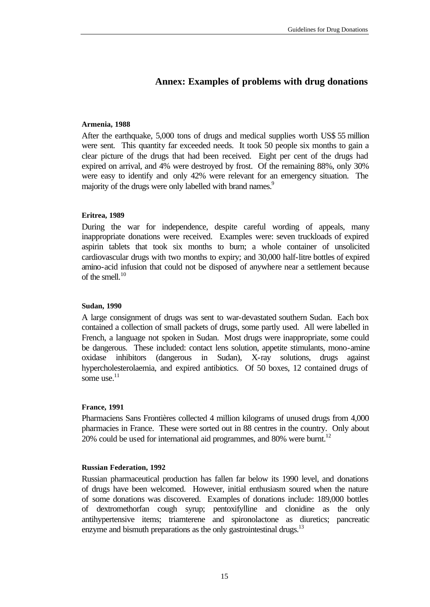# **Annex: Examples of problems with drug donations**

#### **Armenia, 1988**

After the earthquake, 5,000 tons of drugs and medical supplies worth US\$ 55 million were sent. This quantity far exceeded needs. It took 50 people six months to gain a clear picture of the drugs that had been received. Eight per cent of the drugs had expired on arrival, and 4% were destroyed by frost. Of the remaining 88%, only 30% were easy to identify and only 42% were relevant for an emergency situation. The majority of the drugs were only labelled with brand names.<sup>9</sup>

#### **Eritrea, 1989**

During the war for independence, despite careful wording of appeals, many inappropriate donations were received. Examples were: seven truckloads of expired aspirin tablets that took six months to burn; a whole container of unsolicited cardiovascular drugs with two months to expiry; and 30,000 half-litre bottles of expired amino-acid infusion that could not be disposed of anywhere near a settlement because of the smell $10$ 

#### **Sudan, 1990**

A large consignment of drugs was sent to war-devastated southern Sudan. Each box contained a collection of small packets of drugs, some partly used. All were labelled in French, a language not spoken in Sudan. Most drugs were inappropriate, some could be dangerous. These included: contact lens solution, appetite stimulants, mono-amine oxidase inhibitors (dangerous in Sudan), X-ray solutions, drugs against hypercholesterolaemia, and expired antibiotics. Of 50 boxes, 12 contained drugs of some use $^{11}$ 

#### **France, 1991**

Pharmaciens Sans Frontières collected 4 million kilograms of unused drugs from 4,000 pharmacies in France. These were sorted out in 88 centres in the country. Only about 20% could be used for international aid programmes, and 80% were burnt.<sup>12</sup>

#### **Russian Federation, 1992**

Russian pharmaceutical production has fallen far below its 1990 level, and donations of drugs have been welcomed. However, initial enthusiasm soured when the nature of some donations was discovered. Examples of donations include: 189,000 bottles of dextromethorfan cough syrup; pentoxifylline and clonidine as the only antihypertensive items; triamterene and spironolactone as diuretics; pancreatic enzyme and bismuth preparations as the only gastrointestinal drugs. $^{13}$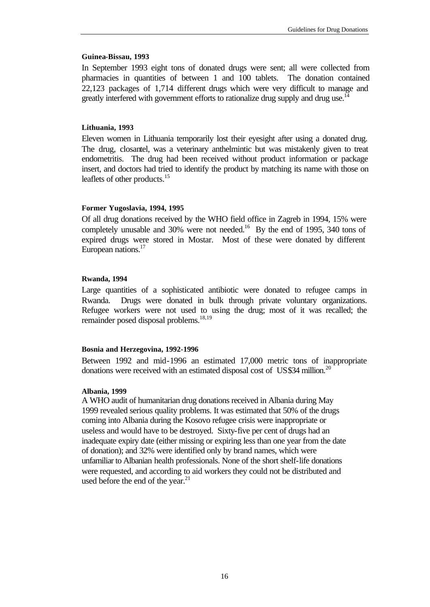#### **Guinea-Bissau, 1993**

In September 1993 eight tons of donated drugs were sent; all were collected from pharmacies in quantities of between 1 and 100 tablets. The donation contained 22,123 packages of 1,714 different drugs which were very difficult to manage and greatly interfered with government efforts to rationalize drug supply and drug use.<sup>14</sup>

#### **Lithuania, 1993**

Eleven women in Lithuania temporarily lost their eyesight after using a donated drug. The drug, closantel, was a veterinary anthelmintic but was mistakenly given to treat endometritis. The drug had been received without product information or package insert, and doctors had tried to identify the product by matching its name with those on leaflets of other products.<sup>15</sup>

#### **Former Yugoslavia, 1994, 1995**

Of all drug donations received by the WHO field office in Zagreb in 1994, 15% were completely unusable and  $30\%$  were not needed.<sup>16</sup> By the end of 1995, 340 tons of expired drugs were stored in Mostar. Most of these were donated by different European nations.<sup>17</sup>

#### **Rwanda, 1994**

Large quantities of a sophisticated antibiotic were donated to refugee camps in Rwanda. Drugs were donated in bulk through private voluntary organizations. Refugee workers were not used to using the drug; most of it was recalled; the remainder posed disposal problems.<sup>18,19</sup>

#### **Bosnia and Herzegovina, 1992-1996**

Between 1992 and mid-1996 an estimated 17,000 metric tons of inappropriate donations were received with an estimated disposal cost of US\$34 million.<sup>20</sup>

#### **Albania, 1999**

A WHO audit of humanitarian drug donations received in Albania during May 1999 revealed serious quality problems. It was estimated that 50% of the drugs coming into Albania during the Kosovo refugee crisis were inappropriate or useless and would have to be destroyed. Sixty-five per cent of drugs had an inadequate expiry date (either missing or expiring less than one year from the date of donation); and 32% were identified only by brand names, which were unfamiliar to Albanian health professionals. None of the short shelf-life donations were requested, and according to aid workers they could not be distributed and used before the end of the year. $21$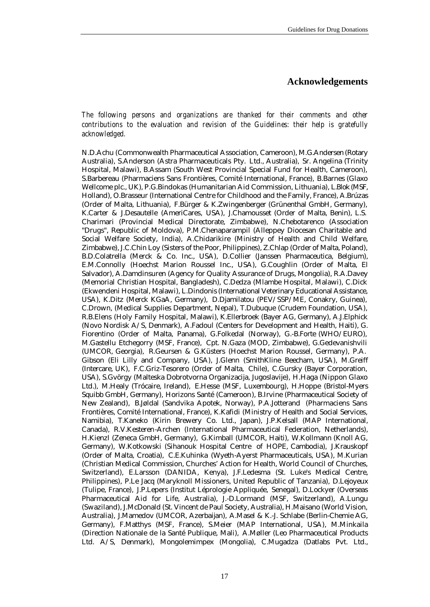#### **Acknowledgements**

*The following persons and organizations are thanked for their comments and other contributions to the evaluation and revision of the Guidelines: their help is gratefully acknowledged.*

N.D.Achu (Commonwealth Pharmaceutical Association, Cameroon), M.G.Andersen (Rotary Australia), S.Anderson (Astra Pharmaceuticals Pty. Ltd., Australia), Sr. Angelina (Trinity Hospital, Malawi), B.Assam (South West Provincial Special Fund for Health, Cameroon), S.Barbereau (Pharmaciens Sans Frontières, Comité International, France), B.Barnes (Glaxo Wellcome plc., UK), P.G.Bindokas (Humanitarian Aid Commission, Lithuania), L.Blok (MSF, Holland), O.Brasseur (International Centre for Childhood and the Family, France), A.Brúzas (Order of Malta, Lithuania), F.Bürger & K.Zwingenberger (Grünenthal GmbH, Germany), K.Carter & J.Desautelle (AmeriCares, USA), J.Chamousset (Order of Malta, Benin), L.S. Charimari (Provincial Medical Directorate, Zimbabwe), N.Chebotarenco (Association "Drugs", Republic of Moldova), P.M.Chenaparampil (Alleppey Diocesan Charitable and Social Welfare Society, India), A.Chidarikire (Ministry of Health and Child Welfare, Zimbabwe), J.C.Chin Loy (Sisters of the Poor, Philippines), Z.Chlap (Order of Malta, Poland), B.D.Colatrella (Merck & Co. Inc., USA), D.Collier (Janssen Pharmaceutica, Belgium), E.M.Connolly (Hoechst Marion Roussel Inc., USA), G.Coughlin (Order of Malta, El Salvador), A.Damdinsuren (Agency for Quality Assurance of Drugs, Mongolia), R.A.Davey (Memorial Christian Hospital, Bangladesh), C.Dedza (Mlambe Hospital, Malawi), C.Dick (Ekwendeni Hospital, Malawi), L.Dindonis (International Veterinary Educational Assistance, USA), K.Ditz (Merck KGaA, Germany), D.Djamilatou (PEV/SSP/ME, Conakry, Guinea), C.Drown, (Medical Supplies Department, Nepal), T.Dubuque (Crudem Foundation, USA), R.B.Elens (Holy Family Hospital, Malawi), K.Ellerbroek (Bayer AG, Germany), A.J.Elphick (Novo Nordisk A/S, Denmark), A.Fadoul (Centers for Development and Health, Haiti), G. Fiorentino (Order of Malta, Panama), G.Folkedal (Norway), G.-B.Forte (WHO/EURO), M.Gastellu Etchegorry (MSF, France), Cpt. N.Gaza (MOD, Zimbabwe), G.Gedevanishvili (UMCOR, Georgia), R.Geursen & G.Küsters (Hoechst Marion Roussel, Germany), P.A. Gibson (Eli Lilly and Company, USA), J.Glenn (SmithKline Beecham, USA), M.Greiff (Intercare, UK), F.C.Griz-Tesorero (Order of Malta, Chile), C.Gursky (Bayer Corporation, USA), S.Gvörgy (Malteska Dobrotvorna Organizacija, Jugoslavije), H.Haga (Nippon Glaxo Ltd.), M.Healy (Trócaire, Ireland), E.Hesse (MSF, Luxembourg), H.Hoppe (Bristol-Myers Squibb GmbH, Germany), Horizons Santé (Cameroon), B.Irvine (Pharmaceutical Society of New Zealand), B.Jøldal (Sandvika Apotek, Norway), P.A.Jotterand (Pharmaciens Sans Frontières, Comité International, France), K.Kafidi (Ministry of Health and Social Services, Namibia), T.Kaneko (Kirin Brewery Co. Ltd., Japan), J.P.Kelsall (MAP International, Canada), R.V.Kesteren-Archen (International Pharmaceutical Federation, Netherlands), H.Kienzl (Zeneca GmbH, Germany), G.Kimball (UMCOR, Haiti), W.Kollmann (Knoll AG, Germany), W.Kotkowski (Sihanouk Hospital Centre of HOPE, Cambodia), J.Krauskopf (Order of Malta, Croatia), C.E.Kuhinka (Wyeth-Ayerst Pharmaceuticals, USA), M.Kurian (Christian Medical Commission, Churches' Action for Health, World Council of Churches, Switzerland), E.Larsson (DANIDA, Kenya), J.F.Ledesma (St. Luke's Medical Centre, Philippines), P.Le Jacq (Maryknoll Missioners, United Republic of Tanzania), D.Lejoyeux (Tulipe, France), J.P.Lepers (Institut Léprologie Appliquée, Senegal), D.Lockyer (Overseas Pharmaceutical Aid for Life, Australia), J.-D.Lormand (MSF, Switzerland), A.Lungu (Swaziland), J.McDonald (St. Vincent de Paul Society, Australia), H.Maisano (World Vision, Australia), J.Mamedov (UMCOR, Azerbaijan), A.Masel & K.-J. Schlabe (Berlin-Chemie AG, Germany), F.Matthys (MSF, France), S.Meier (MAP International, USA), M.Minkaila (Direction Nationale de la Santé Publique, Mali), A.Møller (Leo Pharmaceutical Products Ltd. A/S, Denmark), Mongolemimpex (Mongolia), C.Mugadza (Datlabs Pvt. Ltd.,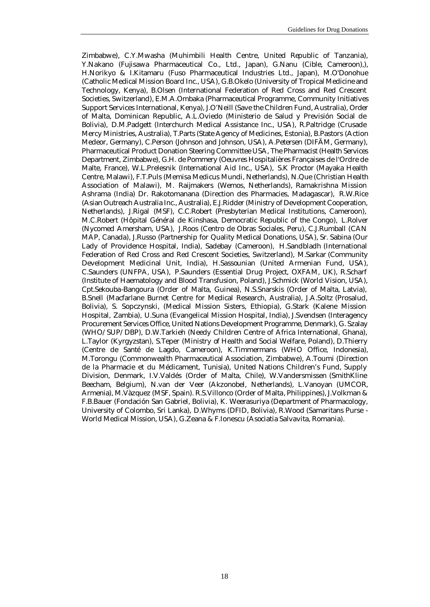Zimbabwe), C.Y.Mwasha (Muhimbili Health Centre, United Republic of Tanzania), Y.Nakano (Fujisawa Pharmaceutical Co., Ltd., Japan), G.Nanu (Cible, Cameroon),), H.Norikyo & I.Kitamaru (Fuso Pharmaceutical Industries Ltd., Japan), M.O'Donohue (Catholic Medical Mission Board Inc., USA), G.B.Okelo (University of Tropical Medicine and Technology, Kenya), B.Olsen (International Federation of Red Cross and Red Crescent Societies, Switzerland), E.M.A.Ombaka (Pharmaceutical Programme, Community Initiatives Support Services International, Kenya), J.O'Neill (Save the Children Fund, Australia), Order of Malta, Dominican Republic, A.L.Oviedo (Ministerio de Salud y Previsión Social de Bolivia), D.M.Padgett (Interchurch Medical Assistance Inc., USA), R.Paltridge (Crusade Mercy Ministries, Australia), T.Parts (State Agency of Medicines, Estonia), B.Pastors (Action Medeor, Germany), C.Person (Johnson and Johnson, USA), A.Petersen (DIFÄM, Germany), Pharmaceutical Product Donation Steering Committee USA, The Pharmacist (Health Services Department, Zimbabwe), G.H. de Pommery (Oeuvres Hospitalières Françaises de l'Ordre de Malte, France), W.L.Prelesnik (International Aid Inc., USA), S.K Proctor (Mayaka Health Centre, Malawi), F.T.Puls (Memisa Medicus Mundi, Netherlands), N.Que (Christian Health Association of Malawi), M. Raijmakers (Wemos, Netherlands), Ramakrishna Mission Ashrama (India) Dr. Rakotomanana (Direction des Pharmacies, Madagascar), R.W.Rice (Asian Outreach Australia Inc., Australia), E.J.Ridder (Ministry of Development Cooperation, Netherlands), J.Rigal (MSF), C.C.Robert (Presbyterian Medical Institutions, Cameroon), M.C.Robert (Hôpital Général de Kinshasa, Democratic Republic of the Congo), L.Rolver (Nycomed Amersham, USA), J.Roos (Centro de Obras Sociales, Peru), C.J.Rumball (CAN MAP, Canada), J.Russo (Partnership for Quality Medical Donations, USA), Sr. Sabina (Our Lady of Providence Hospital, India), Sadebay (Cameroon), H.Sandbladh (International Federation of Red Cross and Red Crescent Societies, Switzerland), M.Sarkar (Community Development Medicinal Unit, India), H.Sassounian (United Armenian Fund, USA), C.Saunders (UNFPA, USA), P.Saunders (Essential Drug Project, OXFAM, UK), R.Scharf (Institute of Haematology and Blood Transfusion, Poland), J.Schmick (World Vision, USA), Cpt.Sekouba-Bangoura (Order of Malta, Guinea), N.S.Snarskis (Order of Malta, Latvia), B.Snell (Macfarlane Burnet Centre for Medical Research, Australia), J.A.Soltz (Prosalud, Bolivia), S. Sopczynski, (Medical Mission Sisters, Ethiopia), G.Stark (Kalene Mission Hospital, Zambia), U.Suna (Evangelical Mission Hospital, India), J.Svendsen (Interagency Procurement Services Office, United Nations Development Programme, Denmark), G. Szalay (WHO/SUP/DBP), D.W.Tarkieh (Needy Children Centre of Africa International, Ghana), L.Taylor (Kyrgyzstan), S.Teper (Ministry of Health and Social Welfare, Poland), D.Thierry (Centre de Santé de Lagdo, Cameroon), K.Timmermans (WHO Office, Indonesia), M.Torongu (Commonwealth Pharmaceutical Association, Zimbabwe), A.Toumi (Direction de la Pharmacie et du Médicament, Tunisia), United Nations Children's Fund, Supply Division, Denmark, I.V.Valdés (Order of Malta, Chile), W.Vandersmissen (SmithKline Beecham, Belgium), N.van der Veer (Akzonobel, Netherlands), L.Vanoyan (UMCOR, Armenia), M.Vàzquez (MSF, Spain). R.S.Villonco (Order of Malta, Philippines), J.Volkman & F.B.Bauer (Fondación San Gabriel, Bolivia), K. Weerasuriya (Department of Pharmacology, University of Colombo, Sri Lanka), D.Whyms (DFID, Bolivia), R.Wood (Samaritans Purse - World Medical Mission, USA), G.Zeana & F.Ionescu (Asociatia Salvavita, Romania).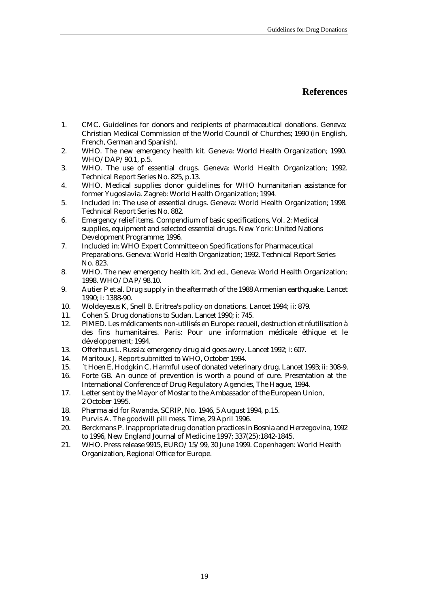# **References**

- 1. CMC. Guidelines for donors and recipients of pharmaceutical donations. Geneva: Christian Medical Commission of the World Council of Churches; 1990 (in English, French, German and Spanish).
- 2. WHO. The new emergency health kit. Geneva: World Health Organization; 1990. WHO/DAP/90.1, p.5.
- 3. WHO. The use of essential drugs. Geneva: World Health Organization; 1992. Technical Report Series No. 825, p.13.
- 4. WHO. Medical supplies donor guidelines for WHO humanitarian assistance for former Yugoslavia. Zagreb: World Health Organization; 1994.
- 5. Included in: The use of essential drugs. Geneva: World Health Organization; 1998. Technical Report Series No. 882.
- 6. Emergency relief items. Compendium of basic specifications, Vol. 2: Medical supplies, equipment and selected essential drugs. New York: United Nations Development Programme; 1996.
- 7. Included in: WHO Expert Committee on Specifications for Pharmaceutical Preparations. Geneva: World Health Organization; 1992. Technical Report Series No. 823.
- 8. WHO. The new emergency health kit. 2nd ed., Geneva: World Health Organization; 1998. WHO/DAP/98.10.
- 9. Autier P et al. Drug supply in the aftermath of the 1988 Armenian earthquake. Lancet 1990; i: 1388-90.
- 10. Woldeyesus K, Snell B. Eritrea's policy on donations. Lancet 1994; ii: 879.
- 11. Cohen S. Drug donations to Sudan. Lancet 1990; i: 745.
- 12. PIMED. Les médicaments non-utilisés en Europe: recueil, destruction et réutilisation à des fins humanitaires. Paris: Pour une information médicale éthique et le développement; 1994.
- 13. Offerhaus L. Russia: emergency drug aid goes awry. Lancet 1992; i: 607.
- 14. Maritoux J. Report submitted to WHO, October 1994.
- 15. ´t Hoen E, Hodgkin C. Harmful use of donated veterinary drug. Lancet 1993; ii: 308-9.
- 16. Forte GB. An ounce of prevention is worth a pound of cure. Presentation at the International Conference of Drug Regulatory Agencies, The Hague, 1994.
- 17. Letter sent by the Mayor of Mostar to the Ambassador of the European Union, 2 October 1995.
- 18. Pharma aid for Rwanda, SCRIP, No. 1946, 5 August 1994, p.15.
- 19. Purvis A. The goodwill pill mess. Time, 29 April 1996.
- 20. Berckmans P. Inappropriate drug donation practices in Bosnia and Herzegovina, 1992 to 1996, New England Journal of Medicine 1997; 337(25):1842-1845.
- 21. WHO. Press release 9915, EURO/15/99, 30 June 1999. Copenhagen: World Health Organization, Regional Office for Europe.